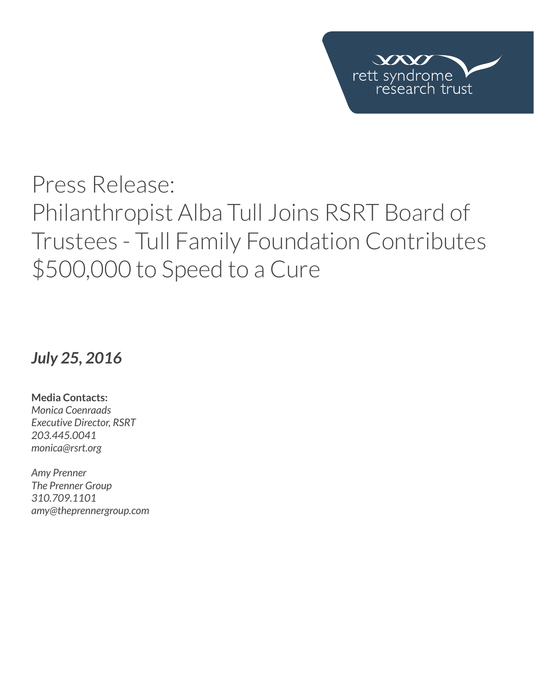

# Press Release: Philanthropist Alba Tull Joins RSRT Board of Trustees - Tull Family Foundation Contributes \$500,000 to Speed to a Cure

## *July 25, 2016*

**Media Contacts:**  *Monica Coenraads Executive Director, RSRT 203.445.0041 [monica@rsrt.org](mailto:monica%40rsrt.org?subject=Press%20Release%20%7C%20CSO%20Announce)*

*Amy Prenner The Prenner Group 310.709.1101 amy@theprennergroup.com*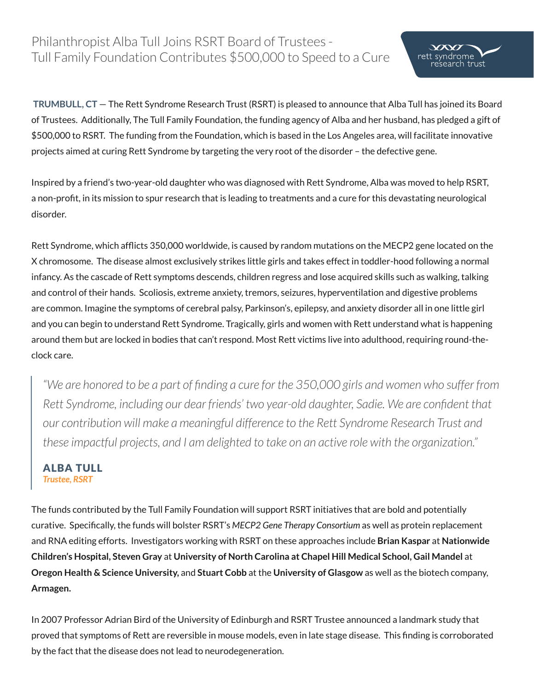## Philanthropist Alba Tull Joins RSRT Board of Trustees - Tull Family Foundation Contributes \$500,000 to Speed to a Cure

 **TRUMBULL, CT** — The Rett Syndrome Research Trust (RSRT) is pleased to announce that Alba Tull has joined its Board of Trustees. Additionally, The Tull Family Foundation, the funding agency of Alba and her husband, has pledged a gift of \$500,000 to RSRT. The funding from the Foundation, which is based in the Los Angeles area, will facilitate innovative projects aimed at curing Rett Syndrome by targeting the very root of the disorder – the defective gene.

 $VX$ rett syndrome

arch trust

Inspired by a friend's two-year-old daughter who was diagnosed with Rett Syndrome, Alba was moved to help RSRT, a non-profit, in its mission to spur research that is leading to treatments and a cure for this devastating neurological disorder.

Rett Syndrome, which afflicts 350,000 worldwide, is caused by random mutations on the MECP2 gene located on the X chromosome. The disease almost exclusively strikes little girls and takes effect in toddler-hood following a normal infancy. As the cascade of Rett symptoms descends, children regress and lose acquired skills such as walking, talking and control of their hands. Scoliosis, extreme anxiety, tremors, seizures, hyperventilation and digestive problems are common. Imagine the symptoms of cerebral palsy, Parkinson's, epilepsy, and anxiety disorder all in one little girl and you can begin to understand Rett Syndrome. Tragically, girls and women with Rett understand what is happening around them but are locked in bodies that can't respond. Most Rett victims live into adulthood, requiring round-theclock care.

*"We are honored to be a part of finding a cure for the 350,000 girls and women who suffer from Rett Syndrome, including our dear friends' two year-old daughter, Sadie. We are confident that our contribution will make a meaningful difference to the Rett Syndrome Research Trust and these impactful projects, and I am delighted to take on an active role with the organization."*

#### ALBA TUL[L](http://reverserett.org/about-us/people/randall-carpenter/) *Trustee, RSRT*

The funds contributed by the Tull Family Foundation will support RSRT initiatives that are bold and potentially curative. Specifically, the funds will bolster RSRT's *MECP2 Gene Therapy Consortium* as well as protein replacement and RNA editing efforts. Investigators working with RSRT on these approaches include **Brian Kaspar** at **Nationwide Children's Hospital, Steven Gray** at **University of North Carolina at Chapel Hill Medical School, Gail Mandel** at **Oregon Health & Science University,** and **Stuart Cobb** at the **University of Glasgow** as well as the biotech company, **Armagen.** 

In 2007 Professor Adrian Bird of the University of Edinburgh and RSRT Trustee announced a landmark study that proved that symptoms of Rett are reversible in mouse models, even in late stage disease. This finding is corroborated by the fact that the disease does not lead to neurodegeneration.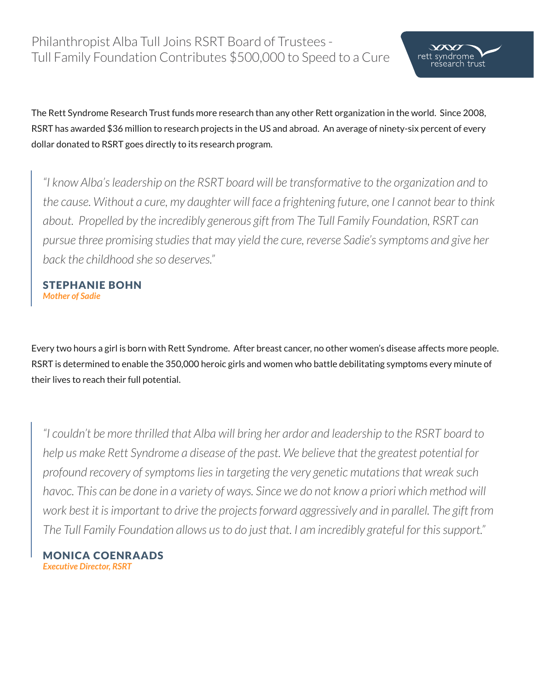The Rett Syndrome Research Trust funds more research than any other Rett organization in the world. Since 2008, RSRT has awarded \$36 million to research projects in the US and abroad. An average of ninety-six percent of every dollar donated to RSRT goes directly to its research program.

 $\chi$ rett syndrome

earch trust

*"I know Alba's leadership on the RSRT board will be transformative to the organization and to the cause. Without a cure, my daughter will face a frightening future, one I cannot bear to think about. Propelled by the incredibly generous gift from The Tull Family Foundation, RSRT can pursue three promising studies that may yield the cure, reverse Sadie's symptoms and give her back the childhood she so deserves."*

stephanie bohn *Mother of Sadie*

Every two hours a girl is born with Rett Syndrome. After breast cancer, no other women's disease affects more people. RSRT is determined to enable the 350,000 heroic girls and women who battle debilitating symptoms every minute of their lives to reach their full potential.

*"I couldn't be more thrilled that Alba will bring her ardor and leadership to the RSRT board to help us make Rett Syndrome a disease of the past. We believe that the greatest potential for profound recovery of symptoms lies in targeting the very genetic mutations that wreak such*  havoc. This can be done in a variety of ways. Since we do not know a priori which method will *work best it is important to drive the projects forward aggressively and in parallel. The gift from The Tull Family Foundation allows us to do just that. I am incredibly grateful for this support."* 

monica coenraads *Executive Director, RSRT*